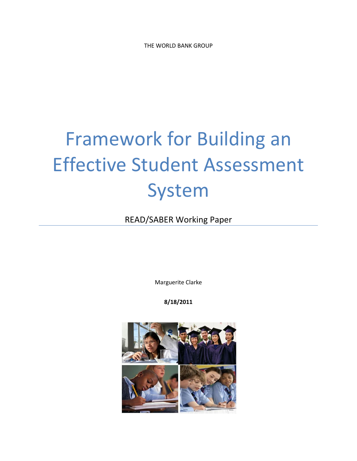THE WORLD BANK GROUP

# Framework for Building an Effective Student Assessment System

READ/SABER Working Paper

Marguerite Clarke

**8/18/2011**

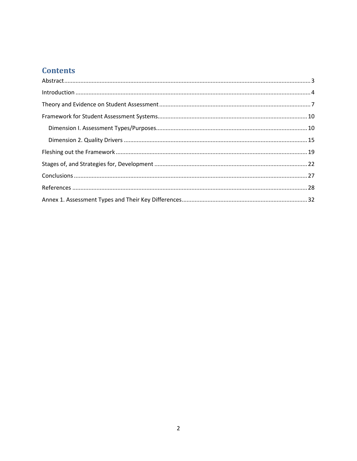## **Contents**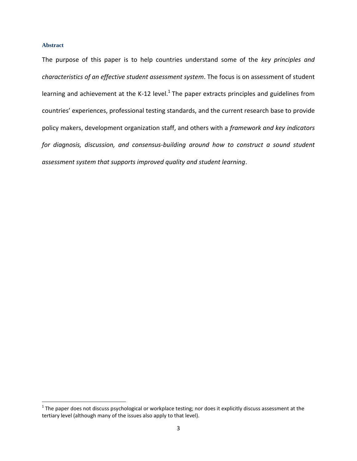#### <span id="page-2-0"></span>**Abstract**

The purpose of this paper is to help countries understand some of the *key principles and characteristics of an effective student assessment system*. The focus is on assessment of student learning and achievement at the K-12 level. $^1$  The paper extracts principles and guidelines from countries' experiences, professional testing standards, and the current research base to provide policy makers, development organization staff, and others with a *framework and key indicators for diagnosis, discussion, and consensus-building around how to construct a sound student assessment system that supports improved quality and student learning*.

<sup>&</sup>lt;u>The paper does not discuss psychological or workplace testing</u>; nor does it explicitly discuss assessment at the<br><sup>1</sup> The paper does not discuss psychological or workplace testing; nor does it explicitly discuss assessment tertiary level (although many of the issues also apply to that level).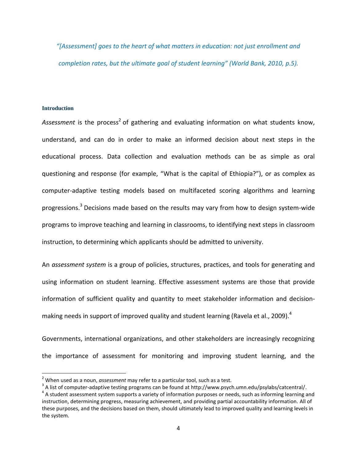*"[Assessment] goes to the heart of what matters in education: not just enrollment and completion rates, but the ultimate goal of student learning" (World Bank, 2010, p.5).*

#### <span id="page-3-0"></span>**Introduction**

 $\overline{a}$ 

Assessment is the process<sup>2</sup> of gathering and evaluating information on what students know, understand, and can do in order to make an informed decision about next steps in the educational process. Data collection and evaluation methods can be as simple as oral questioning and response (for example, "What is the capital of Ethiopia?"), or as complex as computer-adaptive testing models based on multifaceted scoring algorithms and learning progressions.<sup>3</sup> Decisions made based on the results may vary from how to design system-wide programs to improve teaching and learning in classrooms, to identifying next steps in classroom instruction, to determining which applicants should be admitted to university.

An *assessment system* is a group of policies, structures, practices, and tools for generating and using information on student learning. Effective assessment systems are those that provide information of sufficient quality and quantity to meet stakeholder information and decisionmaking needs in support of improved quality and student learning (Ravela et al., 2009).<sup>4</sup>

Governments, international organizations, and other stakeholders are increasingly recognizing the importance of assessment for monitoring and improving student learning, and the

<sup>2</sup> When used as a noun, *assessment* may refer to a particular tool, such as a test.

 $^3$  A list of computer-adaptive testing programs can be found at http://www.psych.umn.edu/psylabs/catcentral/.

<sup>&</sup>lt;sup>4</sup> A student assessment system supports a variety of information purposes or needs, such as informing learning and instruction, determining progress, measuring achievement, and providing partial accountability information. All of these purposes, and the decisions based on them, should ultimately lead to improved quality and learning levels in the system.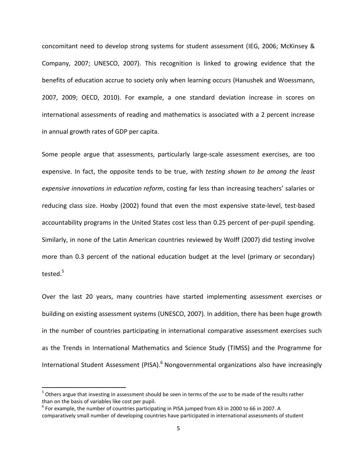concomitant need to develop strong systems for student assessment (IEG, 2006; McKinsey & Company, 2007; UNESCO, 2007). This recognition is linked to growing evidence that the benefits of education accrue to society only when learning occurs (Hanushek and Woessmann, 2007, 2009; OECD, 2010). For example, a one standard deviation increase in scores on international assessments of reading and mathematics is associated with a 2 percent increase in annual growth rates of GDP per capita.

Some people argue that assessments, particularly large-scale assessment exercises, are too expensive. In fact, the opposite tends to be true, with *testing shown to be among the least expensive innovations in education reform*, costing far less than increasing teachers' salaries or reducing class size. Hoxby (2002) found that even the most expensive state-level, test-based accountability programs in the United States cost less than 0.25 percent of per-pupil spending. Similarly, in none of the Latin American countries reviewed by Wolff (2007) did testing involve more than 0.3 percent of the national education budget at the level (primary or secondary) tested.<sup>5</sup>

Over the last 20 years, many countries have started implementing assessment exercises or building on existing assessment systems (UNESCO, 2007). In addition, there has been huge growth in the number of countries participating in international comparative assessment exercises such as the Trends in International Mathematics and Science Study (TIMSS) and the Programme for International Student Assessment (PISA).<sup>6</sup> Nongovernmental organizations also have increasingly

 $\overline{a}$ 

<sup>5</sup> Others argue that investing in assessment should be seen in terms of the *use* to be made of the results rather than on the basis of variables like cost per pupil.

 $^6$  For example, the number of countries participating in PISA jumped from 43 in 2000 to 66 in 2007. A comparatively small number of developing countries have participated in international assessments of student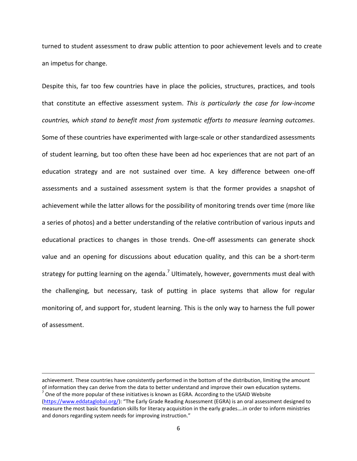turned to student assessment to draw public attention to poor achievement levels and to create an impetus for change.

Despite this, far too few countries have in place the policies, structures, practices, and tools that constitute an effective assessment system. *This is particularly the case for low-income countries, which stand to benefit most from systematic efforts to measure learning outcomes*. Some of these countries have experimented with large-scale or other standardized assessments of student learning, but too often these have been ad hoc experiences that are not part of an education strategy and are not sustained over time. A key difference between one-off assessments and a sustained assessment system is that the former provides a snapshot of achievement while the latter allows for the possibility of monitoring trends over time (more like a series of photos) and a better understanding of the relative contribution of various inputs and educational practices to changes in those trends. One-off assessments can generate shock value and an opening for discussions about education quality, and this can be a short-term strategy for putting learning on the agenda.<sup>7</sup> Ultimately, however, governments must deal with the challenging, but necessary, task of putting in place systems that allow for regular monitoring of, and support for, student learning. This is the only way to harness the full power of assessment.

achievement. These countries have consistently performed in the bottom of the distribution, limiting the amount of information they can derive from the data to better understand and improve their own education systems.  $^7$  One of the more popular of these initiatives is known as EGRA. According to the USAID Website [\(https://www.eddataglobal.org/](https://www.eddataglobal.org/)): "The Early Grade Reading Assessment (EGRA) is an oral assessment designed to measure the most basic foundation skills for literacy acquisition in the early grades….in order to inform ministries and donors regarding system needs for improving instruction."

 $\overline{a}$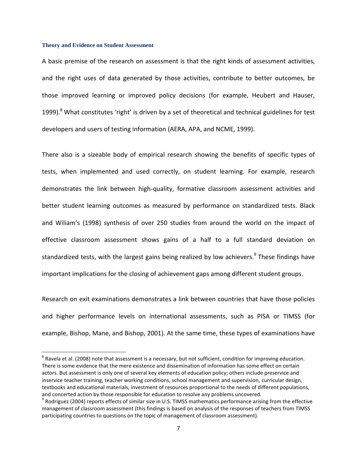#### <span id="page-6-0"></span>**Theory and Evidence on Student Assessment**

 $\overline{\phantom{a}}$ 

A basic premise of the research on assessment is that the right kinds of assessment activities, and the right uses of data generated by those activities, contribute to better outcomes, be those improved learning or improved policy decisions (for example, Heubert and Hauser, 1999).<sup>8</sup> What constitutes 'right' is driven by a set of theoretical and technical guidelines for test developers and users of testing information (AERA, APA, and NCME, 1999).

There also is a sizeable body of empirical research showing the benefits of specific types of tests, when implemented and used correctly, on student learning. For example, research demonstrates the link between high-quality, formative classroom assessment activities and better student learning outcomes as measured by performance on standardized tests. Black and Wiliam's (1998) synthesis of over 250 studies from around the world on the impact of effective classroom assessment shows gains of a half to a full standard deviation on standardized tests, with the largest gains being realized by low achievers.<sup>9</sup> These findings have important implications for the closing of achievement gaps among different student groups.

Research on exit examinations demonstrates a link between countries that have those policies and higher performance levels on international assessments, such as PISA or TIMSS (for example, Bishop, Mane, and Bishop, 2001). At the same time, these types of examinations have

 $^8$  Ravela et al. (2008) note that assessment is a necessary, but not sufficient, condition for improving education. There is some evidence that the mere existence and dissemination of information has some effect on certain actors. But assessment is only one of several key elements of education policy; others include preservice and inservice teacher training, teacher working conditions, school management and supervision, curricular design, textbooks and educational materials, investment of resources proportional to the needs of different populations, and concerted action by those responsible for education to resolve any problems uncovered.

 $^9$  Rodriguez (2004) reports effects of similar size in U.S. TIMSS mathematics performance arising from the effective management of classroom assessment (this findings is based on analysis of the responses of teachers from TIMSS participating countries to questions on the topic of management of classroom assessment).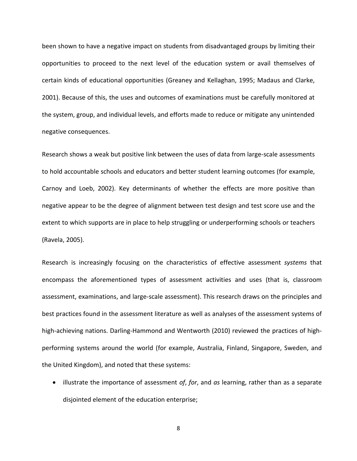been shown to have a negative impact on students from disadvantaged groups by limiting their opportunities to proceed to the next level of the education system or avail themselves of certain kinds of educational opportunities (Greaney and Kellaghan, 1995; Madaus and Clarke, 2001). Because of this, the uses and outcomes of examinations must be carefully monitored at the system, group, and individual levels, and efforts made to reduce or mitigate any unintended negative consequences.

Research shows a weak but positive link between the uses of data from large-scale assessments to hold accountable schools and educators and better student learning outcomes (for example, Carnoy and Loeb, 2002). Key determinants of whether the effects are more positive than negative appear to be the degree of alignment between test design and test score use and the extent to which supports are in place to help struggling or underperforming schools or teachers (Ravela, 2005).

Research is increasingly focusing on the characteristics of effective assessment *systems* that encompass the aforementioned types of assessment activities and uses (that is, classroom assessment, examinations, and large-scale assessment). This research draws on the principles and best practices found in the assessment literature as well as analyses of the assessment systems of high-achieving nations. Darling-Hammond and Wentworth (2010) reviewed the practices of highperforming systems around the world (for example, Australia, Finland, Singapore, Sweden, and the United Kingdom), and noted that these systems:

 illustrate the importance of assessment *of*, *for*, and *as* learning, rather than as a separate disjointed element of the education enterprise;

8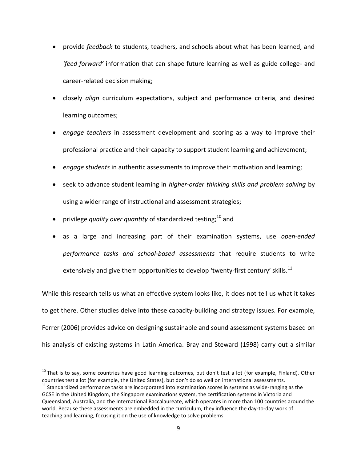- provide *feedback* to students, teachers, and schools about what has been learned, and *'feed forward'* information that can shape future learning as well as guide college- and career-related decision making;
- closely *align* curriculum expectations, subject and performance criteria, and desired learning outcomes;
- *engage teachers* in assessment development and scoring as a way to improve their professional practice and their capacity to support student learning and achievement;
- *engage students* in authentic assessments to improve their motivation and learning;
- seek to advance student learning in *higher-order thinking skills and problem solving* by using a wider range of instructional and assessment strategies;
- privilege *quality over quantity* of standardized testing; <sup>10</sup> and

 $\overline{\phantom{a}}$ 

 as a large and increasing part of their examination systems, use *open-ended performance tasks and school-based assessments* that require students to write extensively and give them opportunities to develop 'twenty-first century' skills. $^{11}$ 

While this research tells us what an effective system looks like, it does not tell us what it takes to get there. Other studies delve into these capacity-building and strategy issues. For example, Ferrer (2006) provides advice on designing sustainable and sound assessment systems based on his analysis of existing systems in Latin America. Bray and Steward (1998) carry out a similar

 $^{10}$  That is to say, some countries have good learning outcomes, but don't test a lot (for example, Finland). Other countries test a lot (for example, the United States), but don't do so well on international assessments.

 $11$  Standardized performance tasks are incorporated into examination scores in systems as wide-ranging as the GCSE in the United Kingdom, the Singapore examinations system, the certification systems in Victoria and Queensland, Australia, and the International Baccalaureate, which operates in more than 100 countries around the world. Because these assessments are embedded in the curriculum, they influence the day-to-day work of teaching and learning, focusing it on the use of knowledge to solve problems.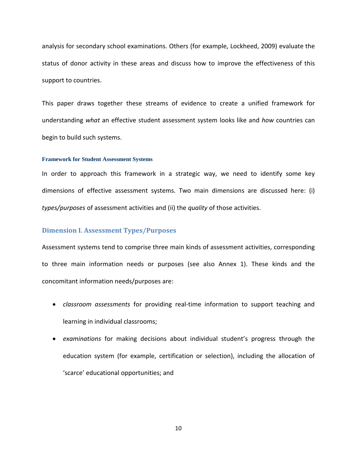analysis for secondary school examinations. Others (for example, Lockheed, 2009) evaluate the status of donor activity in these areas and discuss how to improve the effectiveness of this support to countries.

This paper draws together these streams of evidence to create a unified framework for understanding *what* an effective student assessment system looks like and *how* countries can begin to build such systems.

#### <span id="page-9-0"></span>**Framework for Student Assessment Systems**

In order to approach this framework in a strategic way, we need to identify some key dimensions of effective assessment systems. Two main dimensions are discussed here: (i) *types/purposes* of assessment activities and (ii) the *quality* of those activities.

#### <span id="page-9-1"></span>**Dimension I. Assessment Types/Purposes**

Assessment systems tend to comprise three main kinds of assessment activities, corresponding to three main information needs or purposes (see also Annex 1). These kinds and the concomitant information needs/purposes are:

- *classroom assessments* for providing real-time information to support teaching and learning in individual classrooms;
- *examinations* for making decisions about individual student's progress through the education system (for example, certification or selection), including the allocation of 'scarce' educational opportunities; and

10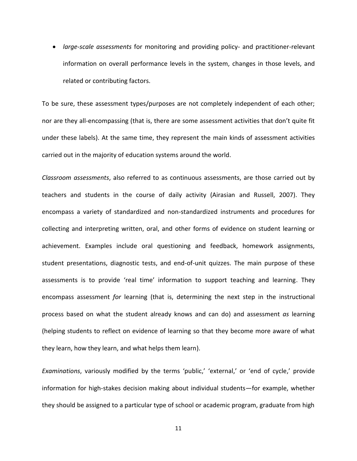*large-scale assessments* for monitoring and providing policy- and practitioner-relevant information on overall performance levels in the system, changes in those levels, and related or contributing factors.

To be sure, these assessment types/purposes are not completely independent of each other; nor are they all-encompassing (that is, there are some assessment activities that don't quite fit under these labels). At the same time, they represent the main kinds of assessment activities carried out in the majority of education systems around the world.

*Classroom assessments*, also referred to as continuous assessments, are those carried out by teachers and students in the course of daily activity (Airasian and Russell, 2007). They encompass a variety of standardized and non-standardized instruments and procedures for collecting and interpreting written, oral, and other forms of evidence on student learning or achievement. Examples include oral questioning and feedback, homework assignments, student presentations, diagnostic tests, and end-of-unit quizzes. The main purpose of these assessments is to provide 'real time' information to support teaching and learning. They encompass assessment *for* learning (that is, determining the next step in the instructional process based on what the student already knows and can do) and assessment *as* learning (helping students to reflect on evidence of learning so that they become more aware of what they learn, how they learn, and what helps them learn).

*Examinations*, variously modified by the terms 'public,' 'external,' or 'end of cycle,' provide information for high-stakes decision making about individual students—for example, whether they should be assigned to a particular type of school or academic program, graduate from high

11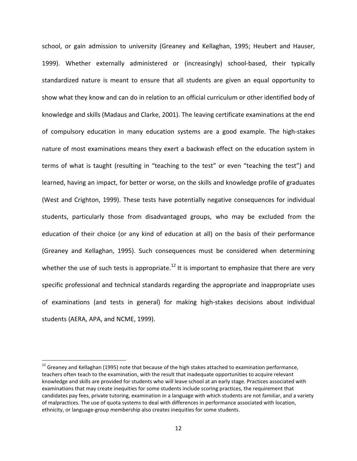school, or gain admission to university (Greaney and Kellaghan, 1995; Heubert and Hauser, 1999). Whether externally administered or (increasingly) school-based, their typically standardized nature is meant to ensure that all students are given an equal opportunity to show what they know and can do in relation to an official curriculum or other identified body of knowledge and skills (Madaus and Clarke, 2001). The leaving certificate examinations at the end of compulsory education in many education systems are a good example. The high-stakes nature of most examinations means they exert a backwash effect on the education system in terms of what is taught (resulting in "teaching to the test" or even "teaching the test") and learned, having an impact, for better or worse, on the skills and knowledge profile of graduates (West and Crighton, 1999). These tests have potentially negative consequences for individual students, particularly those from disadvantaged groups, who may be excluded from the education of their choice (or any kind of education at all) on the basis of their performance (Greaney and Kellaghan, 1995). Such consequences must be considered when determining whether the use of such tests is appropriate.<sup>12</sup> It is important to emphasize that there are very specific professional and technical standards regarding the appropriate and inappropriate uses of examinations (and tests in general) for making high-stakes decisions about individual students (AERA, APA, and NCME, 1999).

 $\overline{\phantom{a}}$ 

<sup>&</sup>lt;sup>12</sup> Greaney and Kellaghan (1995) note that because of the high stakes attached to examination performance, teachers often teach to the examination, with the result that inadequate opportunities to acquire relevant knowledge and skills are provided for students who will leave school at an early stage. Practices associated with examinations that may create inequities for some students include scoring practices, the requirement that candidates pay fees, private tutoring, examination in a language with which students are not familiar, and a variety of malpractices. The use of quota systems to deal with differences in performance associated with location, ethnicity, or language-group membership also creates inequities for some students.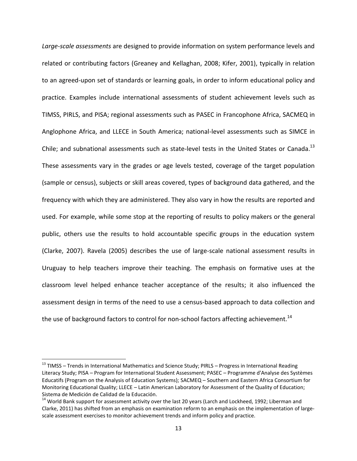*Large-scale assessments* are designed to provide information on system performance levels and related or contributing factors (Greaney and Kellaghan, 2008; Kifer, 2001), typically in relation to an agreed-upon set of standards or learning goals, in order to inform educational policy and practice. Examples include international assessments of student achievement levels such as TIMSS, PIRLS, and PISA; regional assessments such as PASEC in Francophone Africa, SACMEQ in Anglophone Africa, and LLECE in South America; national-level assessments such as SIMCE in Chile; and subnational assessments such as state-level tests in the United States or Canada.<sup>13</sup> These assessments vary in the grades or age levels tested, coverage of the target population (sample or census), subjects or skill areas covered, types of background data gathered, and the frequency with which they are administered. They also vary in how the results are reported and used. For example, while some stop at the reporting of results to policy makers or the general public, others use the results to hold accountable specific groups in the education system (Clarke, 2007). Ravela (2005) describes the use of large-scale national assessment results in Uruguay to help teachers improve their teaching. The emphasis on formative uses at the classroom level helped enhance teacher acceptance of the results; it also influenced the assessment design in terms of the need to use a census-based approach to data collection and the use of background factors to control for non-school factors affecting achievement.<sup>14</sup>

 $\overline{\phantom{a}}$ 

<sup>&</sup>lt;sup>13</sup> TIMSS – Trends in International Mathematics and Science Study; PIRLS – Progress in International Reading Literacy Study; PISA – Program for International Student Assessment; PASEC – Programme d'Analyse des Systèmes Educatifs (Program on the Analysis of Education Systems); SACMEQ – Southern and Eastern Africa Consortium for Monitoring Educational Quality; LLECE – Latin American Laboratory for Assessment of the Quality of Education; Sistema de Medición de Calidad de la Educación.

<sup>&</sup>lt;sup>14</sup> World Bank support for assessment activity over the last 20 years (Larch and Lockheed, 1992; Liberman and Clarke, 2011) has shifted from an emphasis on examination reform to an emphasis on the implementation of largescale assessment exercises to monitor achievement trends and inform policy and practice.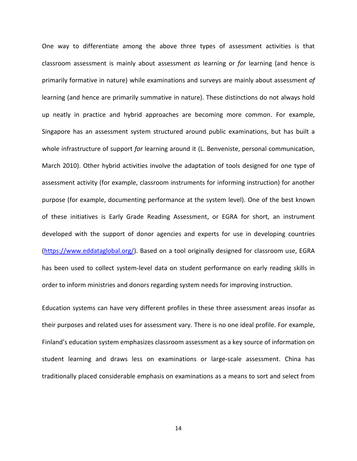One way to differentiate among the above three types of assessment activities is that classroom assessment is mainly about assessment *as* learning or *for* learning (and hence is primarily formative in nature) while examinations and surveys are mainly about assessment *of*  learning (and hence are primarily summative in nature). These distinctions do not always hold up neatly in practice and hybrid approaches are becoming more common. For example, Singapore has an assessment system structured around public examinations, but has built a whole infrastructure of support *for* learning around it (L. Benveniste, personal communication, March 2010). Other hybrid activities involve the adaptation of tools designed for one type of assessment activity (for example, classroom instruments for informing instruction) for another purpose (for example, documenting performance at the system level). One of the best known of these initiatives is Early Grade Reading Assessment, or EGRA for short, an instrument developed with the support of donor agencies and experts for use in developing countries [\(https://www.eddataglobal.org/\)](https://www.eddataglobal.org/). Based on a tool originally designed for classroom use, EGRA has been used to collect system-level data on student performance on early reading skills in order to inform ministries and donors regarding system needs for improving instruction.

Education systems can have very different profiles in these three assessment areas insofar as their purposes and related uses for assessment vary. There is no one ideal profile. For example, Finland's education system emphasizes classroom assessment as a key source of information on student learning and draws less on examinations or large-scale assessment. China has traditionally placed considerable emphasis on examinations as a means to sort and select from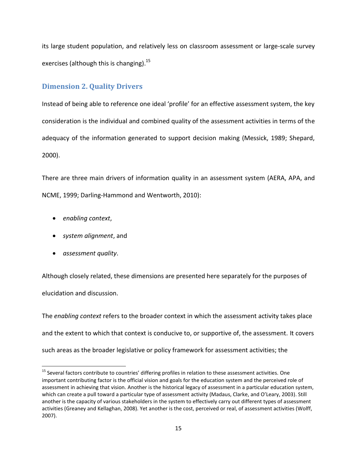its large student population, and relatively less on classroom assessment or large-scale survey exercises (although this is changing).<sup>15</sup>

### <span id="page-14-0"></span>**Dimension 2. Quality Drivers**

Instead of being able to reference one ideal 'profile' for an effective assessment system, the key consideration is the individual and combined quality of the assessment activities in terms of the adequacy of the information generated to support decision making (Messick, 1989; Shepard, 2000).

There are three main drivers of information quality in an assessment system (AERA, APA, and NCME, 1999; Darling-Hammond and Wentworth, 2010):

- *enabling context*,
- *system alignment*, and
- *assessment quality*.

 $\overline{\phantom{a}}$ 

Although closely related, these dimensions are presented here separately for the purposes of elucidation and discussion.

The *enabling context* refers to the broader context in which the assessment activity takes place and the extent to which that context is conducive to, or supportive of, the assessment. It covers such areas as the broader legislative or policy framework for assessment activities; the

<sup>&</sup>lt;sup>15</sup> Several factors contribute to countries' differing profiles in relation to these assessment activities. One important contributing factor is the official vision and goals for the education system and the perceived role of assessment in achieving that vision. Another is the historical legacy of assessment in a particular education system, which can create a pull toward a particular type of assessment activity (Madaus, Clarke, and O'Leary, 2003). Still another is the capacity of various stakeholders in the system to effectively carry out different types of assessment activities (Greaney and Kellaghan, 2008). Yet another is the cost, perceived or real, of assessment activities (Wolff, 2007).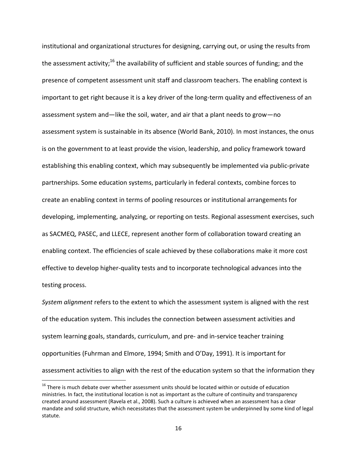institutional and organizational structures for designing, carrying out, or using the results from the assessment activity;<sup>16</sup> the availability of sufficient and stable sources of funding; and the presence of competent assessment unit staff and classroom teachers. The enabling context is important to get right because it is a key driver of the long-term quality and effectiveness of an assessment system and—like the soil, water, and air that a plant needs to grow—no assessment system is sustainable in its absence (World Bank, 2010). In most instances, the onus is on the government to at least provide the vision, leadership, and policy framework toward establishing this enabling context, which may subsequently be implemented via public-private partnerships. Some education systems, particularly in federal contexts, combine forces to create an enabling context in terms of pooling resources or institutional arrangements for developing, implementing, analyzing, or reporting on tests. Regional assessment exercises, such as SACMEQ, PASEC, and LLECE, represent another form of collaboration toward creating an enabling context. The efficiencies of scale achieved by these collaborations make it more cost effective to develop higher-quality tests and to incorporate technological advances into the testing process.

*System alignment* refers to the extent to which the assessment system is aligned with the rest of the education system. This includes the connection between assessment activities and system learning goals, standards, curriculum, and pre- and in-service teacher training opportunities (Fuhrman and Elmore, 1994; Smith and O'Day, 1991). It is important for assessment activities to align with the rest of the education system so that the information they

l

 $16$  There is much debate over whether assessment units should be located within or outside of education ministries. In fact, the institutional location is not as important as the culture of continuity and transparency created around assessment (Ravela et al., 2008). Such a culture is achieved when an assessment has a clear mandate and solid structure, which necessitates that the assessment system be underpinned by some kind of legal statute.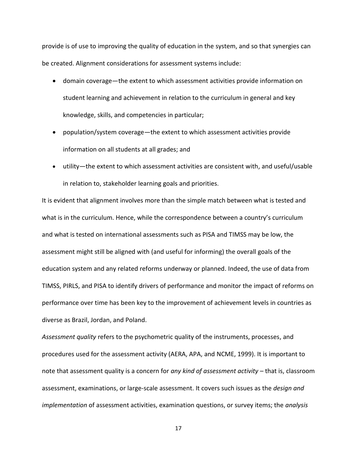provide is of use to improving the quality of education in the system, and so that synergies can be created. Alignment considerations for assessment systems include:

- domain coverage—the extent to which assessment activities provide information on student learning and achievement in relation to the curriculum in general and key knowledge, skills, and competencies in particular;
- population/system coverage—the extent to which assessment activities provide information on all students at all grades; and
- utility—the extent to which assessment activities are consistent with, and useful/usable in relation to, stakeholder learning goals and priorities.

It is evident that alignment involves more than the simple match between what is tested and what is in the curriculum. Hence, while the correspondence between a country's curriculum and what is tested on international assessments such as PISA and TIMSS may be low, the assessment might still be aligned with (and useful for informing) the overall goals of the education system and any related reforms underway or planned. Indeed, the use of data from TIMSS, PIRLS, and PISA to identify drivers of performance and monitor the impact of reforms on performance over time has been key to the improvement of achievement levels in countries as diverse as Brazil, Jordan, and Poland.

*Assessment quality* refers to the psychometric quality of the instruments, processes, and procedures used for the assessment activity (AERA, APA, and NCME, 1999). It is important to note that assessment quality is a concern for *any kind of assessment activity* – that is, classroom assessment, examinations, or large-scale assessment. It covers such issues as the *design and implementation* of assessment activities, examination questions, or survey items; the *analysis*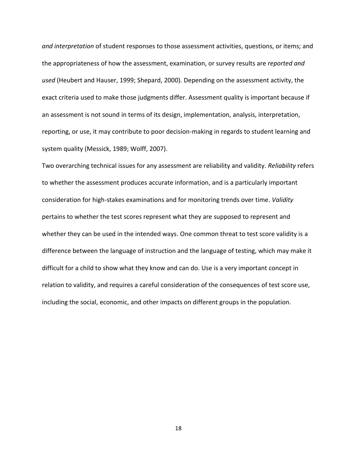*and interpretation* of student responses to those assessment activities, questions, or items; and the appropriateness of how the assessment, examination, or survey results are *reported and used* (Heubert and Hauser, 1999; Shepard, 2000). Depending on the assessment activity, the exact criteria used to make those judgments differ. Assessment quality is important because if an assessment is not sound in terms of its design, implementation, analysis, interpretation, reporting, or use, it may contribute to poor decision-making in regards to student learning and system quality (Messick, 1989; Wolff, 2007).

Two overarching technical issues for any assessment are reliability and validity. *Reliability* refers to whether the assessment produces accurate information, and is a particularly important consideration for high-stakes examinations and for monitoring trends over time. *Validity* pertains to whether the test scores represent what they are supposed to represent and whether they can be used in the intended ways. One common threat to test score validity is a difference between the language of instruction and the language of testing, which may make it difficult for a child to show what they know and can do. Use is a very important concept in relation to validity, and requires a careful consideration of the consequences of test score use, including the social, economic, and other impacts on different groups in the population.

18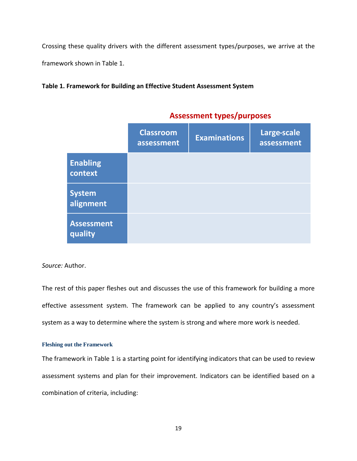Crossing these quality drivers with the different assessment types/purposes, we arrive at the framework shown in Table 1.

#### **Table 1. Framework for Building an Effective Student Assessment System**

|                              | <b>Classroom</b><br>assessment | <b>Examinations</b> | Large-scale<br>assessment |  |  |
|------------------------------|--------------------------------|---------------------|---------------------------|--|--|
| <b>Enabling</b><br>context   |                                |                     |                           |  |  |
| <b>System</b><br>alignment   |                                |                     |                           |  |  |
| <b>Assessment</b><br>quality |                                |                     |                           |  |  |

## **Assessment types/purposes**

#### *Source:* Author.

The rest of this paper fleshes out and discusses the use of this framework for building a more effective assessment system. The framework can be applied to any country's assessment system as a way to determine where the system is strong and where more work is needed.

#### <span id="page-18-0"></span>**Fleshing out the Framework**

The framework in Table 1 is a starting point for identifying indicators that can be used to review assessment systems and plan for their improvement. Indicators can be identified based on a combination of criteria, including: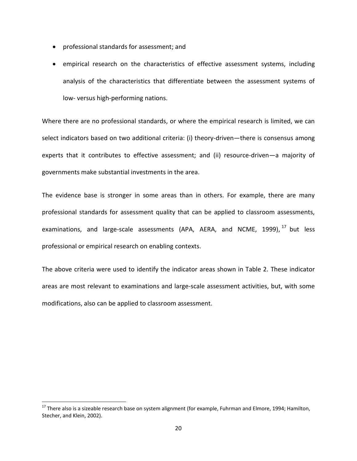- professional standards for assessment; and
- empirical research on the characteristics of effective assessment systems, including analysis of the characteristics that differentiate between the assessment systems of low- versus high-performing nations.

Where there are no professional standards, or where the empirical research is limited, we can select indicators based on two additional criteria: (i) theory-driven—there is consensus among experts that it contributes to effective assessment; and (ii) resource-driven—a majority of governments make substantial investments in the area.

The evidence base is stronger in some areas than in others. For example, there are many professional standards for assessment quality that can be applied to classroom assessments, examinations, and large-scale assessments (APA, AERA, and NCME, 1999),<sup>17</sup> but less professional or empirical research on enabling contexts.

The above criteria were used to identify the indicator areas shown in Table 2. These indicator areas are most relevant to examinations and large-scale assessment activities, but, with some modifications, also can be applied to classroom assessment.

l

 $17$  There also is a sizeable research base on system alignment (for example, Fuhrman and Elmore, 1994; Hamilton, Stecher, and Klein, 2002).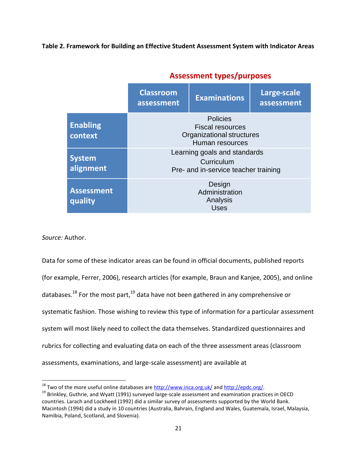**Table 2. Framework for Building an Effective Student Assessment System with Indicator Areas**

|                              | <b>Classroom</b><br>assessment                                                             | <b>Examinations</b> | Large-scale<br>assessment |  |  |
|------------------------------|--------------------------------------------------------------------------------------------|---------------------|---------------------------|--|--|
| <b>Enabling</b><br>context   | <b>Policies</b><br><b>Fiscal resources</b><br>Organizational structures<br>Human resources |                     |                           |  |  |
| <b>System</b><br>alignment   | Learning goals and standards<br>Curriculum<br>Pre- and in-service teacher training         |                     |                           |  |  |
| <b>Assessment</b><br>quality | Design<br>Administration<br>Analysis<br><b>Uses</b>                                        |                     |                           |  |  |

## **Assessment types/purposes**

*Source:* Author.

l

Data for some of these indicator areas can be found in official documents, published reports (for example, Ferrer, 2006), research articles (for example, Braun and Kanjee, 2005), and online databases.<sup>18</sup> For the most part,<sup>19</sup> data have not been gathered in any comprehensive or systematic fashion. Those wishing to review this type of information for a particular assessment system will most likely need to collect the data themselves. Standardized questionnaires and rubrics for collecting and evaluating data on each of the three assessment areas (classroom assessments, examinations, and large-scale assessment) are available at

 $18$  Two of the more useful online databases are<http://www.inca.org.uk/> an[d http://epdc.org/.](http://epdc.org/)

<sup>&</sup>lt;sup>19</sup> Brinkley, Guthrie, and Wyatt (1991) surveyed large-scale assessment and examination practices in OECD countries. Larach and Lockheed (1992) did a similar survey of assessments supported by the World Bank. Macintosh (1994) did a study in 10 countries (Australia, Bahrain, England and Wales, Guatemala, Israel, Malaysia, Namibia, Poland, Scotland, and Slovenia).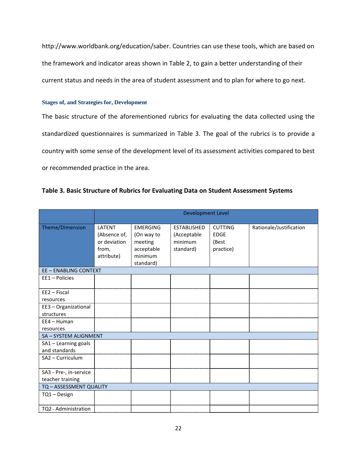http://www.worldbank.org/education/saber. Countries can use these tools, which are based on the framework and indicator areas shown in Table 2, to gain a better understanding of their current status and needs in the area of student assessment and to plan for where to go next.

#### <span id="page-21-0"></span>**Stages of, and Strategies for, Development**

The basic structure of the aforementioned rubrics for evaluating the data collected using the standardized questionnaires is summarized in Table 3. The goal of the rubrics is to provide a country with some sense of the development level of its assessment activities compared to best or recommended practice in the area.

#### **Table 3. Basic Structure of Rubrics for Evaluating Data on Student Assessment Systems**

|                                            | <b>Development Level</b>                                      |                                                                                |                                                           |                                                     |                         |
|--------------------------------------------|---------------------------------------------------------------|--------------------------------------------------------------------------------|-----------------------------------------------------------|-----------------------------------------------------|-------------------------|
| Theme/Dimension                            | LATENT<br>(Absence of,<br>or deviation<br>from,<br>attribute) | <b>EMERGING</b><br>(On way to<br>meeting<br>acceptable<br>minimum<br>standard) | <b>ESTABLISHED</b><br>(Acceptable<br>minimum<br>standard) | <b>CUTTING</b><br><b>EDGE</b><br>(Best<br>practice) | Rationale/Justification |
| <b>EE - ENABLING CONTEXT</b>               |                                                               |                                                                                |                                                           |                                                     |                         |
| EE1 - Policies                             |                                                               |                                                                                |                                                           |                                                     |                         |
| $EE2 - Fiscal$<br>resources                |                                                               |                                                                                |                                                           |                                                     |                         |
| EE3 - Organizational<br>structures         |                                                               |                                                                                |                                                           |                                                     |                         |
| $EE4 - Human$<br>resources                 |                                                               |                                                                                |                                                           |                                                     |                         |
| SA - SYSTEM ALIGNMENT                      |                                                               |                                                                                |                                                           |                                                     |                         |
| SA1 - Learning goals<br>and standards      |                                                               |                                                                                |                                                           |                                                     |                         |
| SA2 - Curriculum                           |                                                               |                                                                                |                                                           |                                                     |                         |
| SA3 - Pre-, in-service<br>teacher training |                                                               |                                                                                |                                                           |                                                     |                         |
| TQ - ASSESSMENT QUALITY                    |                                                               |                                                                                |                                                           |                                                     |                         |
| TQ1 - Design                               |                                                               |                                                                                |                                                           |                                                     |                         |
| TQ2 - Administration                       |                                                               |                                                                                |                                                           |                                                     |                         |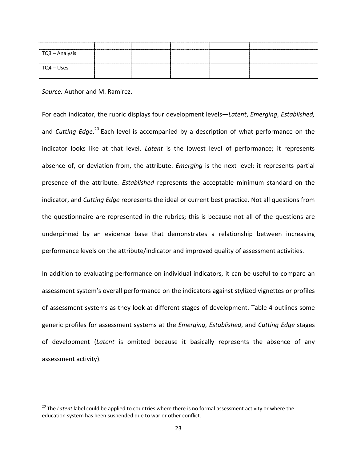| $\overline{C}$ TQ3 – Analysis |  |  |  |
|-------------------------------|--|--|--|
| $\overline{Q4}$ – Uses        |  |  |  |

*Source:* Author and M. Ramirez.

l

For each indicator, the rubric displays four development levels—*Latent*, *Emerging*, *Established,* and *Cutting Edge*. <sup>20</sup> Each level is accompanied by a description of what performance on the indicator looks like at that level. *Latent* is the lowest level of performance; it represents absence of, or deviation from, the attribute. *Emerging* is the next level; it represents partial presence of the attribute. *Established* represents the acceptable minimum standard on the indicator, and *Cutting Edge* represents the ideal or current best practice. Not all questions from the questionnaire are represented in the rubrics; this is because not all of the questions are underpinned by an evidence base that demonstrates a relationship between increasing performance levels on the attribute/indicator and improved quality of assessment activities.

In addition to evaluating performance on individual indicators, it can be useful to compare an assessment system's overall performance on the indicators against stylized vignettes or profiles of assessment systems as they look at different stages of development. Table 4 outlines some generic profiles for assessment systems at the *Emerging*, *Established*, and *Cutting Edge* stages of development (*Latent* is omitted because it basically represents the absence of any assessment activity).

<sup>&</sup>lt;sup>20</sup> The *Latent* label could be applied to countries where there is no formal assessment activity or where the education system has been suspended due to war or other conflict.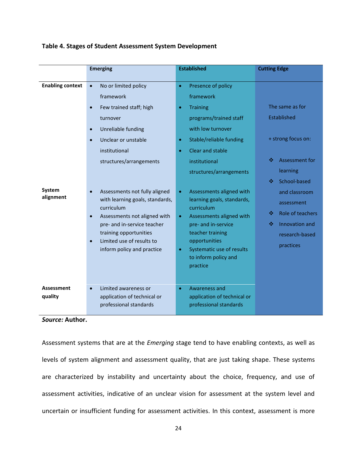|                              | <b>Emerging</b>                                                                                                                                                                                                                                 | <b>Established</b>                                                                                                                                                                                                                                      | <b>Cutting Edge</b>                                                                                           |  |
|------------------------------|-------------------------------------------------------------------------------------------------------------------------------------------------------------------------------------------------------------------------------------------------|---------------------------------------------------------------------------------------------------------------------------------------------------------------------------------------------------------------------------------------------------------|---------------------------------------------------------------------------------------------------------------|--|
| <b>Enabling context</b>      | No or limited policy<br>$\bullet$<br>framework<br>Few trained staff; high<br>turnover<br>Unreliable funding<br>$\bullet$<br>Unclear or unstable<br>institutional<br>structures/arrangements                                                     | Presence of policy<br>$\bullet$<br>framework<br><b>Training</b><br>programs/trained staff<br>with low turnover<br>Stable/reliable funding<br>Clear and stable<br>institutional<br>structures/arrangements                                               | The same as for<br>Established<br>+ strong focus on:<br>Assessment for<br>❖<br>learning<br>School-based<br>∙⊱ |  |
| System<br>alignment          | Assessments not fully aligned<br>with learning goals, standards,<br>curriculum<br>Assessments not aligned with<br>$\bullet$<br>pre- and in-service teacher<br>training opportunities<br>Limited use of results to<br>inform policy and practice | Assessments aligned with<br>$\bullet$<br>learning goals, standards,<br>curriculum<br>Assessments aligned with<br>$\bullet$<br>pre- and in-service<br>teacher training<br>opportunities<br>Systematic use of results<br>to inform policy and<br>practice | and classroom<br>assessment<br>Role of teachers<br>❖<br>Innovation and<br>❖<br>research-based<br>practices    |  |
| <b>Assessment</b><br>quality | Limited awareness or<br>application of technical or<br>professional standards                                                                                                                                                                   | Awareness and<br>application of technical or<br>professional standards                                                                                                                                                                                  |                                                                                                               |  |

#### **Table 4. Stages of Student Assessment System Development**

#### *Source:* **Author.**

Assessment systems that are at the *Emerging* stage tend to have enabling contexts, as well as levels of system alignment and assessment quality, that are just taking shape. These systems are characterized by instability and uncertainty about the choice, frequency, and use of assessment activities, indicative of an unclear vision for assessment at the system level and uncertain or insufficient funding for assessment activities. In this context, assessment is more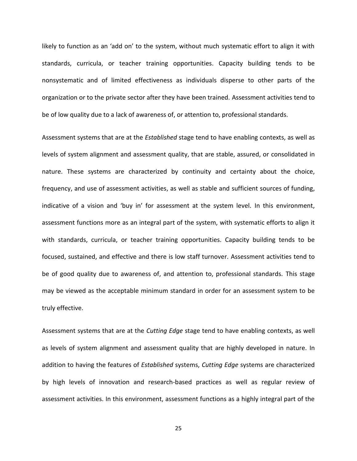likely to function as an 'add on' to the system, without much systematic effort to align it with standards, curricula, or teacher training opportunities. Capacity building tends to be nonsystematic and of limited effectiveness as individuals disperse to other parts of the organization or to the private sector after they have been trained. Assessment activities tend to be of low quality due to a lack of awareness of, or attention to, professional standards.

Assessment systems that are at the *Established* stage tend to have enabling contexts, as well as levels of system alignment and assessment quality, that are stable, assured, or consolidated in nature. These systems are characterized by continuity and certainty about the choice, frequency, and use of assessment activities, as well as stable and sufficient sources of funding, indicative of a vision and 'buy in' for assessment at the system level. In this environment, assessment functions more as an integral part of the system, with systematic efforts to align it with standards, curricula, or teacher training opportunities. Capacity building tends to be focused, sustained, and effective and there is low staff turnover. Assessment activities tend to be of good quality due to awareness of, and attention to, professional standards. This stage may be viewed as the acceptable minimum standard in order for an assessment system to be truly effective.

Assessment systems that are at the *Cutting Edge* stage tend to have enabling contexts, as well as levels of system alignment and assessment quality that are highly developed in nature. In addition to having the features of *Established* systems, *Cutting Edge* systems are characterized by high levels of innovation and research-based practices as well as regular review of assessment activities. In this environment, assessment functions as a highly integral part of the

25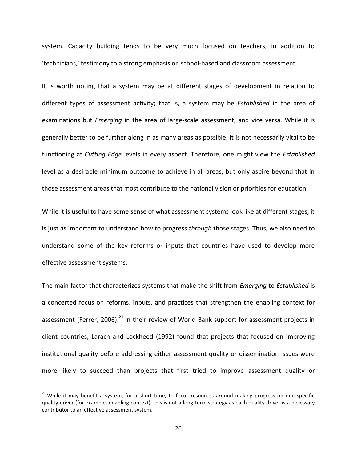system. Capacity building tends to be very much focused on teachers, in addition to 'technicians,' testimony to a strong emphasis on school-based and classroom assessment.

It is worth noting that a system may be at different stages of development in relation to different types of assessment activity; that is, a system may be *Established* in the area of examinations but *Emerging* in the area of large-scale assessment, and vice versa. While it is generally better to be further along in as many areas as possible, it is not necessarily vital to be functioning at *Cutting Edge* levels in every aspect. Therefore, one might view the *Established*  level as a desirable minimum outcome to achieve in all areas, but only aspire beyond that in those assessment areas that most contribute to the national vision or priorities for education.

While it is useful to have some sense of what assessment systems look like at different stages, it is just as important to understand how to progress *through* those stages. Thus, we also need to understand some of the key reforms or inputs that countries have used to develop more effective assessment systems.

The main factor that characterizes systems that make the shift from *Emerging* to *Established* is a concerted focus on reforms, inputs, and practices that strengthen the enabling context for assessment (Ferrer, 2006).<sup>21</sup> In their review of World Bank support for assessment projects in client countries, Larach and Lockheed (1992) found that projects that focused on improving institutional quality before addressing either assessment quality or dissemination issues were more likely to succeed than projects that first tried to improve assessment quality or

 $\overline{a}$ 

 $21$  While it may benefit a system, for a short time, to focus resources around making progress on one specific quality driver (for example, enabling context), this is not a long-term strategy as each quality driver is a necessary contributor to an effective assessment system.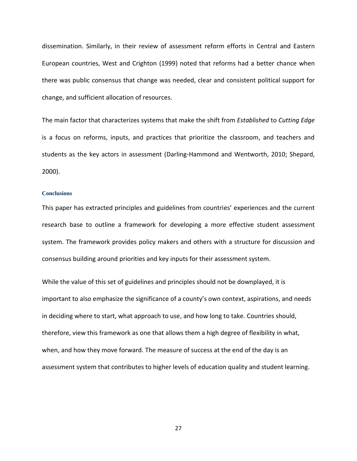dissemination. Similarly, in their review of assessment reform efforts in Central and Eastern European countries, West and Crighton (1999) noted that reforms had a better chance when there was public consensus that change was needed, clear and consistent political support for change, and sufficient allocation of resources.

The main factor that characterizes systems that make the shift from *Established* to *Cutting Edge* is a focus on reforms, inputs, and practices that prioritize the classroom, and teachers and students as the key actors in assessment (Darling-Hammond and Wentworth, 2010; Shepard, 2000).

#### <span id="page-26-0"></span>**Conclusions**

This paper has extracted principles and guidelines from countries' experiences and the current research base to outline a framework for developing a more effective student assessment system. The framework provides policy makers and others with a structure for discussion and consensus building around priorities and key inputs for their assessment system.

While the value of this set of guidelines and principles should not be downplayed, it is important to also emphasize the significance of a county's own context, aspirations, and needs in deciding where to start, what approach to use, and how long to take. Countries should, therefore, view this framework as one that allows them a high degree of flexibility in what, when, and how they move forward. The measure of success at the end of the day is an assessment system that contributes to higher levels of education quality and student learning.

27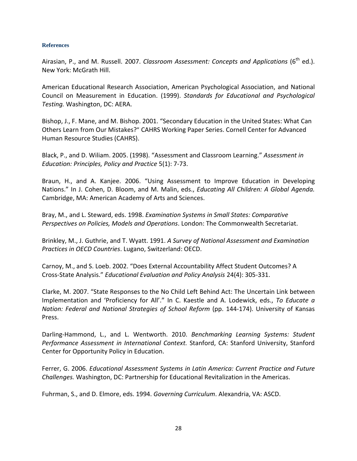#### <span id="page-27-0"></span>**References**

Airasian, P., and M. Russell. 2007. *Classroom Assessment: Concepts and Applications* (6<sup>th</sup> ed.). New York: McGrath Hill.

American Educational Research Association, American Psychological Association, and National Council on Measurement in Education. (1999). *Standards for Educational and Psychological Testing.* Washington, DC: AERA.

Bishop, J., F. Mane, and M. Bishop. 2001. "[Secondary Education in the United States: What Can](http://works.bepress.com/john_bishop/91)  [Others Learn from Our Mistakes?](http://works.bepress.com/john_bishop/91)" CAHRS Working Paper Series. Cornell Center for Advanced Human Resource Studies (CAHRS).

Black, P., and D. Wiliam. 2005. (1998). "Assessment and Classroom Learning." *Assessment in Education: Principles, Policy and Practice* 5(1): 7-73.

Braun, H., and A. Kanjee. 2006. "Using Assessment to Improve Education in Developing Nations." In J. Cohen, D. Bloom, and M. Malin, eds., *Educating All Children: A Global Agenda.* Cambridge, MA: American Academy of Arts and Sciences.

Bray, M., and L. Steward, eds. 1998. *Examination Systems in Small States: Comparative Perspectives on Policies, Models and Operations*. London: The Commonwealth Secretariat.

Brinkley, M., J. Guthrie, and T. Wyatt. 1991. *A Survey of National Assessment and Examination Practices in OECD Countries*. Lugano, Switzerland: OECD.

Carnoy, M., and S. Loeb. 2002. "Does External Accountability Affect Student Outcomes? A Cross-State Analysis." *Educational Evaluation and Policy Analysis* 24(4): 305-331.

Clarke, M. 2007. "State Responses to the No Child Left Behind Act: The Uncertain Link between Implementation and 'Proficiency for All'." In C. Kaestle and A. Lodewick, eds., *To Educate a Nation: Federal and National Strategies of School Reform* (pp. 144-174). University of Kansas Press.

Darling-Hammond, L., and L. Wentworth. 2010. *Benchmarking Learning Systems: Student Performance Assessment in International Context.* Stanford, CA: Stanford University, Stanford Center for Opportunity Policy in Education.

Ferrer, G. 2006. *Educational Assessment Systems in Latin America: Current Practice and Future Challenges.* Washington, DC: Partnership for Educational Revitalization in the Americas.

Fuhrman, S., and D. Elmore, eds. 1994. *Governing Curriculum*. Alexandria, VA: ASCD.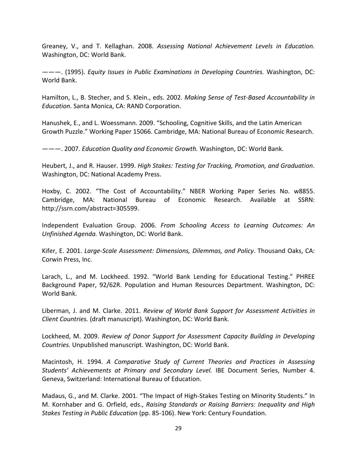Greaney, V., and T. Kellaghan. 2008. *Assessing National Achievement Levels in Education.* Washington, DC: World Bank.

———. (1995). *Equity Issues in Public Examinations in Developing Countries.* Washington, DC: World Bank.

Hamilton, L., B. Stecher, and S. Klein., eds. 2002. *Making Sense of Test-Based Accountability in Education*. Santa Monica, CA: RAND Corporation.

Hanushek, E., and L. Woessmann. 2009. "Schooling, Cognitive Skills, and the Latin American Growth Puzzle." Working Paper 15066. Cambridge, MA: National Bureau of Economic Research.

———. 2007. *Education Quality and Economic Growth.* Washington, DC: World Bank.

Heubert, J., and R. Hauser. 1999. *High Stakes: Testing for Tracking, Promotion, and Graduation*. Washington, DC: National Academy Press.

Hoxby, C. 2002. "The Cost of Accountability." NBER Working Paper Series No. w8855. Cambridge, MA: National Bureau of Economic Research. Available at SSRN: http://ssrn.com/abstract=305599.

Independent Evaluation Group. 2006. *From Schooling Access to Learning Outcomes: An Unfinished Agenda.* Washington, DC: World Bank.

Kifer, E. 2001. *Large-Scale Assessment: Dimensions, Dilemmas, and Policy*. Thousand Oaks, CA: Corwin Press, Inc.

Larach, L., and M. Lockheed. 1992. "World Bank Lending for Educational Testing." PHREE Background Paper, 92/62R. Population and Human Resources Department. Washington, DC: World Bank.

Liberman, J. and M. Clarke. 2011. *Review of World Bank Support for Assessment Activities in Client Countries.* (draft manuscript). Washington, DC: World Bank.

Lockheed, M. 2009. *Review of Donor Support for Assessment Capacity Building in Developing Countries.* Unpublished manuscript. Washington, DC: World Bank.

Macintosh, H. 1994. *A Comparative Study of Current Theories and Practices in Assessing Students' Achievements at Primary and Secondary Level.* IBE Document Series, Number 4. Geneva, Switzerland: International Bureau of Education.

Madaus, G., and M. Clarke. 2001. "The Impact of High-Stakes Testing on Minority Students." In M. Kornhaber and G. Orfield, eds., *Raising Standards or Raising Barriers: Inequality and High Stakes Testing in Public Education* (pp. 85-106). New York: Century Foundation.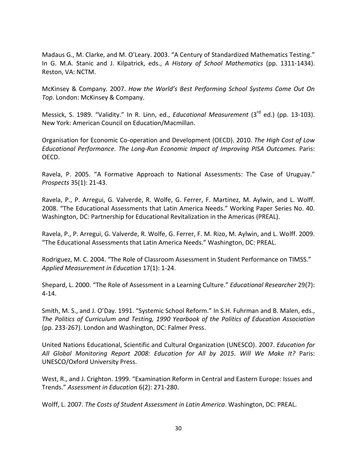Madaus G., M. Clarke, and M. O'Leary. 2003. "A Century of Standardized Mathematics Testing." In G. M.A. Stanic and J. Kilpatrick, eds., *A History of School Mathematics* (pp. 1311-1434). Reston, VA: NCTM.

McKinsey & Company. 2007. *How the World's Best Performing School Systems Come Out On Top*. London: McKinsey & Company.

Messick, S. 1989. "Validity." In R. Linn, ed., *Educational Measurement* (3rd ed.) (pp. 13-103). New York: American Council on Education/Macmillan.

Organisation for Economic Co-operation and Development (OECD). 2010. *The High Cost of Low Educational Performance. The Long-Run Economic Impact of Improving PISA Outcomes.* Paris: OECD.

Ravela, P. 2005. "A Formative Approach to National Assessments: The Case of Uruguay." *Prospects* 35(1): 21-43.

Ravela, P., P. Arregui, G. Valverde, R. Wolfe, G. Ferrer, F. Martinez, M. Aylwin, and L. Wolff. 2008. "The Educational Assessments that Latin America Needs." Working Paper Series No. 40. Washington, DC: Partnership for Educational Revitalization in the Americas (PREAL).

Ravela, P., P. Arregui, G. Valverde, R. Wolfe, G. Ferrer, F. M. Rizo, M. Aylwin, and L. Wolff. 2009. "The Educational Assessments that Latin America Needs." Washington, DC: PREAL.

Rodriguez, M. C. 2004. "The Role of Classroom Assessment in Student Performance on TIMSS." *Applied Measurement in Education* 17(1): 1-24.

Shepard, L. 2000. "The Role of Assessment in a Learning Culture." *Educational Researcher* 29(7): 4-14.

Smith, M. S., and J. O'Day. 1991. "Systemic School Reform." In S.H. Fuhrman and B. Malen, eds., *The Politics of Curriculum and Testing, 1990 Yearbook of the Politics of Education Association* (pp. 233-267). London and Washington, DC: Falmer Press.

United Nations Educational, Scientific and Cultural Organization (UNESCO). 2007. *Education for All Global Monitoring Report 2008: Education for All by 2015. Will We Make It?* Paris: UNESCO/Oxford University Press.

West, R., and J. Crighton. 1999. "Examination Reform in Central and Eastern Europe: Issues and Trends." *Assessment in Education* 6(2): 271-280.

Wolff, L. 2007. *The Costs of Student Assessment in Latin America*. Washington, DC: PREAL.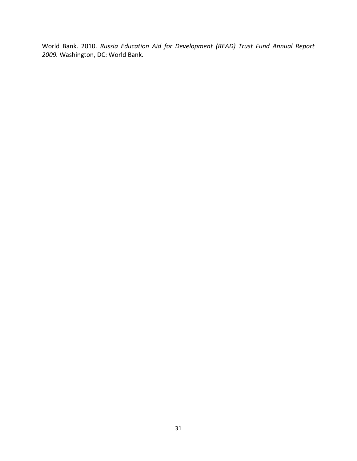World Bank. 2010. *Russia Education Aid for Development (READ) Trust Fund Annual Report 2009.* Washington, DC: World Bank.